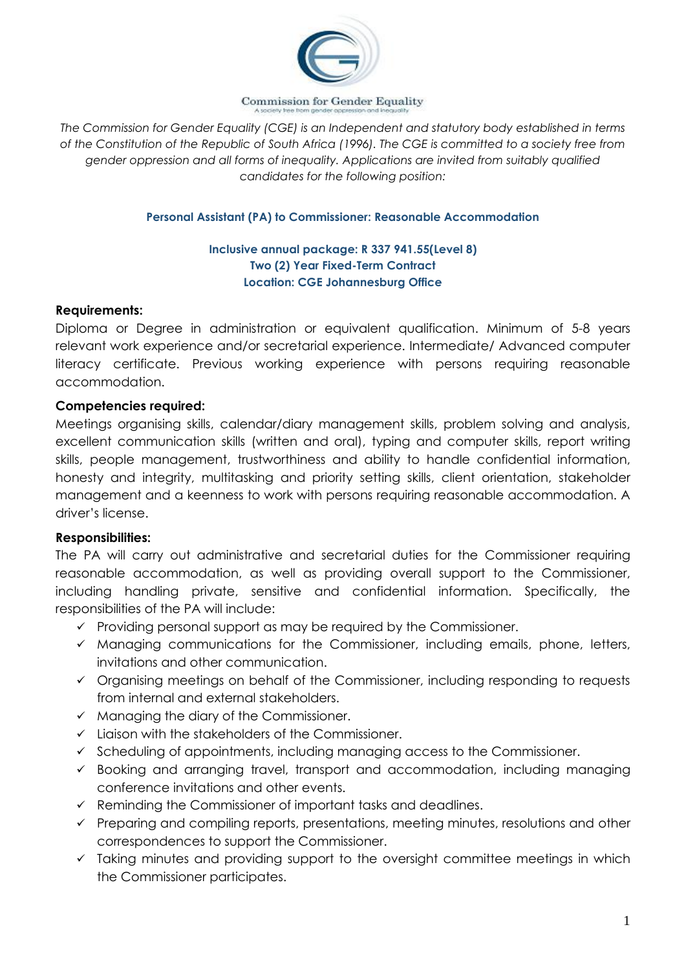

**Commission for Gender Equality** 

*The Commission for Gender Equality (CGE) is an Independent and statutory body established in terms of the Constitution of the Republic of South Africa (1996). The CGE is committed to a society free from gender oppression and all forms of inequality. Applications are invited from suitably qualified candidates for the following position:*

## **Personal Assistant (PA) to Commissioner: Reasonable Accommodation**

## **Inclusive annual package: R 337 941.55(Level 8) Two (2) Year Fixed-Term Contract Location: CGE Johannesburg Office**

## **Requirements:**

Diploma or Degree in administration or equivalent qualification. Minimum of 5-8 years relevant work experience and/or secretarial experience. Intermediate/ Advanced computer literacy certificate. Previous working experience with persons requiring reasonable accommodation.

# **Competencies required:**

Meetings organising skills, calendar/diary management skills, problem solving and analysis, excellent communication skills (written and oral), typing and computer skills, report writing skills, people management, trustworthiness and ability to handle confidential information, honesty and integrity, multitasking and priority setting skills, client orientation, stakeholder management and a keenness to work with persons requiring reasonable accommodation. A driver's license.

# **Responsibilities:**

The PA will carry out administrative and secretarial duties for the Commissioner requiring reasonable accommodation, as well as providing overall support to the Commissioner, including handling private, sensitive and confidential information. Specifically, the responsibilities of the PA will include:

- $\checkmark$  Providing personal support as may be required by the Commissioner.
- ✓ Managing communications for the Commissioner, including emails, phone, letters, invitations and other communication.
- ✓ Organising meetings on behalf of the Commissioner, including responding to requests from internal and external stakeholders.
- $\checkmark$  Managing the diary of the Commissioner.
- ✓ Liaison with the stakeholders of the Commissioner.
- $\checkmark$  Scheduling of appointments, including managing access to the Commissioner.
- ✓ Booking and arranging travel, transport and accommodation, including managing conference invitations and other events.
- $\checkmark$  Reminding the Commissioner of important tasks and deadlines.
- ✓ Preparing and compiling reports, presentations, meeting minutes, resolutions and other correspondences to support the Commissioner.
- $\checkmark$  Taking minutes and providing support to the oversight committee meetings in which the Commissioner participates.